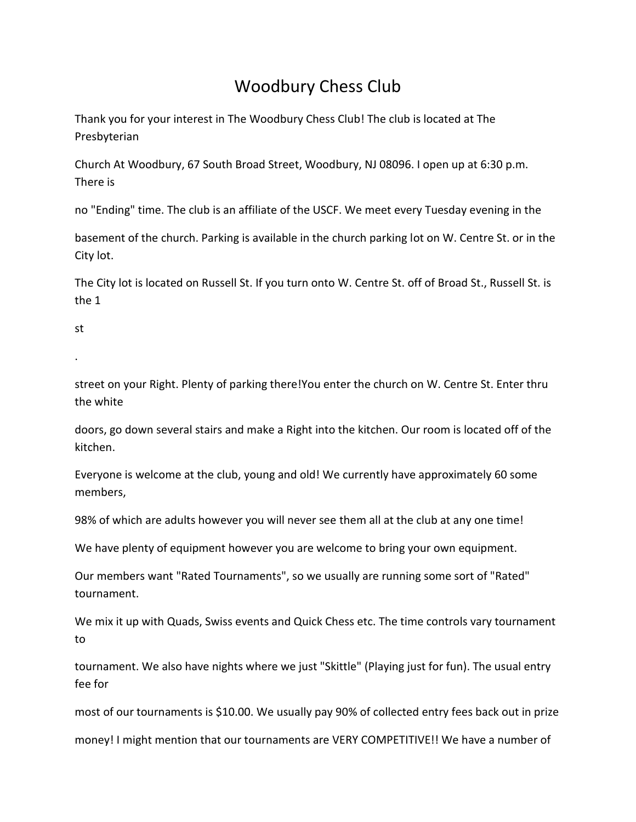## Woodbury Chess Club

Thank you for your interest in The Woodbury Chess Club! The club is located at The Presbyterian

Church At Woodbury, 67 South Broad Street, Woodbury, NJ 08096. I open up at 6:30 p.m. There is

no "Ending" time. The club is an affiliate of the USCF. We meet every Tuesday evening in the

basement of the church. Parking is available in the church parking lot on W. Centre St. or in the City lot.

The City lot is located on Russell St. If you turn onto W. Centre St. off of Broad St., Russell St. is the 1

st

.

street on your Right. Plenty of parking there!You enter the church on W. Centre St. Enter thru the white

doors, go down several stairs and make a Right into the kitchen. Our room is located off of the kitchen.

Everyone is welcome at the club, young and old! We currently have approximately 60 some members,

98% of which are adults however you will never see them all at the club at any one time!

We have plenty of equipment however you are welcome to bring your own equipment.

Our members want "Rated Tournaments", so we usually are running some sort of "Rated" tournament.

We mix it up with Quads, Swiss events and Quick Chess etc. The time controls vary tournament to

tournament. We also have nights where we just "Skittle" (Playing just for fun). The usual entry fee for

most of our tournaments is \$10.00. We usually pay 90% of collected entry fees back out in prize

money! I might mention that our tournaments are VERY COMPETITIVE!! We have a number of